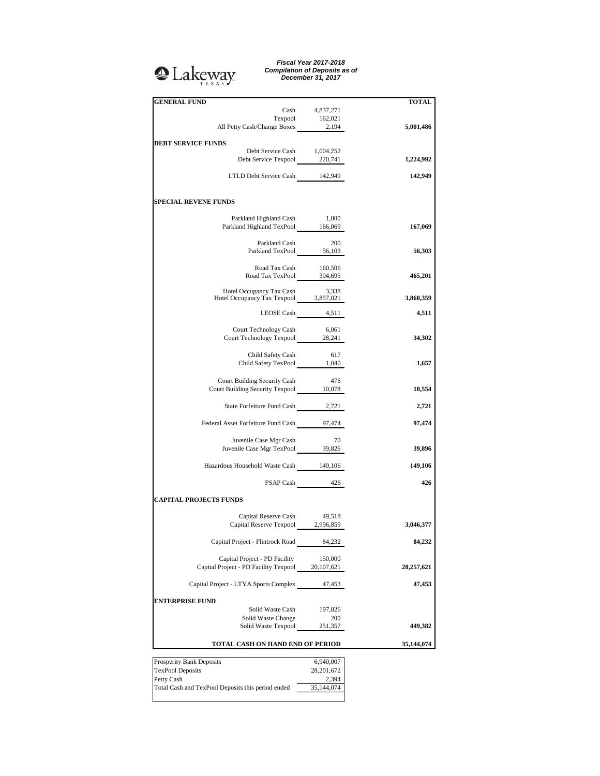## **Q**Lakeway

*Fiscal Year 2017-2018 Compilation of Deposits as of December 31, 2017*

| <b>GENERAL FUND</b>                                                                                           |                  | TOTAL      |
|---------------------------------------------------------------------------------------------------------------|------------------|------------|
| Cash                                                                                                          | 4,837,271        |            |
| $\begin{tabular}{c} \textbf{Tempool} & 162,021 \\ \textbf{All Petty Cash/Change Boxes} & 2,194 \end{tabular}$ |                  |            |
|                                                                                                               |                  | 5,001,486  |
|                                                                                                               |                  |            |
| <b>DEBT SERVICE FUNDS</b><br>Debt Service Cash 1,004,252                                                      |                  |            |
| Debt Service Texpool 220,741                                                                                  |                  |            |
|                                                                                                               |                  | 1,224,992  |
|                                                                                                               |                  |            |
| LTLD Debt Service Cash 142,949                                                                                |                  | 142,949    |
|                                                                                                               |                  |            |
|                                                                                                               |                  |            |
| <b>SPECIAL REVENE FUNDS</b>                                                                                   |                  |            |
|                                                                                                               |                  |            |
| Parkland Highland Cash<br>Parkland Highland TexPool 166,069                                                   | 1,000            |            |
|                                                                                                               |                  | 167,069    |
|                                                                                                               |                  |            |
| Parkland Cash<br>Parkland TexPool 56,103                                                                      | - 200            |            |
|                                                                                                               |                  | 56,303     |
|                                                                                                               |                  |            |
| Road Tax Cash 160,506<br>Road Tax TexPool 304,695                                                             |                  |            |
|                                                                                                               |                  | 465,201    |
|                                                                                                               |                  |            |
| Hotel Occupancy Tax Cash 3,338<br>Hotel Occupancy Tax Texpool 3,857,021                                       |                  |            |
|                                                                                                               |                  | 3,860,359  |
|                                                                                                               | LEOSE Cash 4,511 | 4,511      |
|                                                                                                               |                  |            |
| <b>Court Technology Cash</b>                                                                                  | 6,061            |            |
| Court Technology Texpool 28,241                                                                               |                  | 34,302     |
|                                                                                                               |                  |            |
| Child Safety Cash                                                                                             | 617              |            |
| Child Safety Cash 01/<br>Child Safety TexPool 1,040                                                           |                  | 1,657      |
|                                                                                                               |                  |            |
|                                                                                                               |                  |            |
| Court Building Security Cash<br>Court Building Security Texpool 10,078                                        | 476              |            |
|                                                                                                               |                  | 10,554     |
|                                                                                                               |                  |            |
| State Forfeiture Fund Cash 2,721                                                                              |                  | 2,721      |
|                                                                                                               |                  |            |
| Federal Asset Forfeiture Fund Cash 97,474                                                                     |                  | 97,474     |
|                                                                                                               |                  |            |
| Juvenile Case Mgr Cash                                                                                        | 70               |            |
| Juvenile Case Mgr TexPool 39,826                                                                              |                  | 39,896     |
|                                                                                                               |                  |            |
| Hazardous Household Waste Cash 149,106                                                                        |                  | 149,106    |
|                                                                                                               |                  |            |
|                                                                                                               | PSAP Cash 426    | 426        |
|                                                                                                               |                  |            |
| <b>CAPITAL PROJECTS FUNDS</b>                                                                                 |                  |            |
|                                                                                                               |                  |            |
| Capital Reserve Cash                                                                                          | 49,518           |            |
| Capital Reserve Texpool 2,996,859                                                                             |                  | 3,046,377  |
|                                                                                                               |                  |            |
| Capital Project - Flintrock Road                                                                              | 84,232           | 84,232     |
|                                                                                                               |                  |            |
| Capital Project - PD Facility                                                                                 | 150,000          |            |
| Capital Project - PD Facility Texpool                                                                         | 20,107,621       | 20,257,621 |
|                                                                                                               |                  |            |
| Capital Project - LTYA Sports Complex                                                                         | 47,453           | 47,453     |
|                                                                                                               |                  |            |
| <b>ENTERPRISE FUND</b>                                                                                        |                  |            |
| Solid Waste Cash                                                                                              | 197,826          |            |
|                                                                                                               |                  |            |
| Solid Waste Change                                                                                            | 200              |            |
| Solid Waste Texpool                                                                                           | 251,357          | 449,382    |
|                                                                                                               |                  |            |
| TOTAL CASH ON HAND END OF PERIOD                                                                              |                  | 35,144,074 |
|                                                                                                               |                  |            |
| Prosperity Bank Deposits                                                                                      | 6,940,007        |            |
| TexPool Deposits                                                                                              | 28,201,672       |            |
| Petty Cash                                                                                                    | 2,394            |            |
| Total Cash and TexPool Deposits this period ended                                                             | 35,144,074       |            |